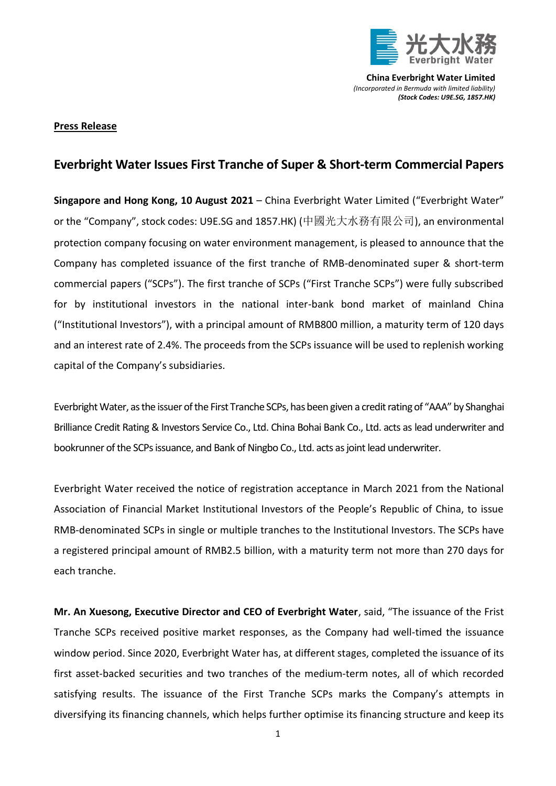

**China Everbright Water Limited** *(Incorporated in Bermuda with limited liability) (Stock Codes: U9E.SG, 1857.HK)*

## **Press Release**

## **Everbright Water Issues First Tranche of Super & Short-term Commercial Papers**

**Singapore and Hong Kong, 10 August 2021** – China Everbright Water Limited ("Everbright Water" or the "Company", stock codes: U9E.SG and 1857.HK) (中國光大水務有限公司), an environmental protection company focusing on water environment management, is pleased to announce that the Company has completed issuance of the first tranche of RMB-denominated super & short-term commercial papers ("SCPs"). The first tranche of SCPs ("First Tranche SCPs") were fully subscribed for by institutional investors in the national inter-bank bond market of mainland China ("Institutional Investors"), with a principal amount of RMB800 million, a maturity term of 120 days and an interest rate of 2.4%. The proceeds from the SCPs issuance will be used to replenish working capital of the Company's subsidiaries.

Everbright Water, as the issuer of the First Tranche SCPs, has been given a credit rating of "AAA" by Shanghai Brilliance Credit Rating & Investors Service Co., Ltd. China Bohai Bank Co., Ltd. acts as lead underwriter and bookrunner of the SCPs issuance, and Bank of Ningbo Co., Ltd. acts as joint lead underwriter.

Everbright Water received the notice of registration acceptance in March 2021 from the National Association of Financial Market Institutional Investors of the People's Republic of China, to issue RMB-denominated SCPs in single or multiple tranches to the Institutional Investors. The SCPs have a registered principal amount of RMB2.5 billion, with a maturity term not more than 270 days for each tranche.

**Mr. An Xuesong, Executive Director and CEO of Everbright Water**, said, "The issuance of the Frist Tranche SCPs received positive market responses, as the Company had well-timed the issuance window period. Since 2020, Everbright Water has, at different stages, completed the issuance of its first asset-backed securities and two tranches of the medium-term notes, all of which recorded satisfying results. The issuance of the First Tranche SCPs marks the Company's attempts in diversifying its financing channels, which helps further optimise its financing structure and keep its